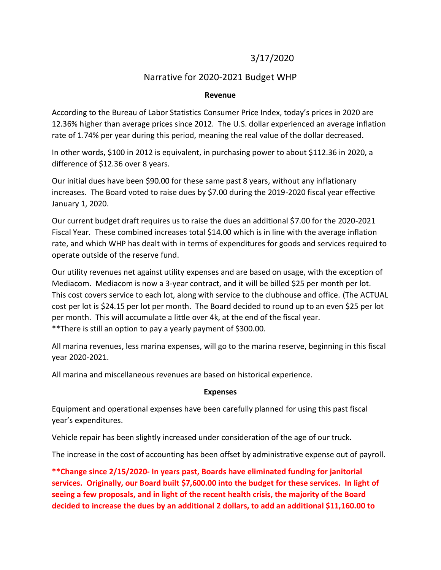# 3/17/2020

## Narrative for 2020-2021 Budget WHP

#### **Revenue**

According to the Bureau of Labor Statistics Consumer Price Index, today's prices in 2020 are 12.36% higher than average prices since 2012. The U.S. dollar experienced an average inflation rate of 1.74% per year during this period, meaning the real value of the dollar decreased.

In other words, \$100 in 2012 is equivalent, in purchasing power to about \$112.36 in 2020, a difference of \$12.36 over 8 years.

Our initial dues have been \$90.00 for these same past 8 years, without any inflationary increases. The Board voted to raise dues by \$7.00 during the 2019-2020 fiscal year effective January 1, 2020.

Our current budget draft requires us to raise the dues an additional \$7.00 for the 2020-2021 Fiscal Year. These combined increases total \$14.00 which is in line with the average inflation rate, and which WHP has dealt with in terms of expenditures for goods and services required to operate outside of the reserve fund.

Our utility revenues net against utility expenses and are based on usage, with the exception of Mediacom. Mediacom is now a 3-year contract, and it will be billed \$25 per month per lot. This cost covers service to each lot, along with service to the clubhouse and office. (The ACTUAL cost per lot is \$24.15 per lot per month. The Board decided to round up to an even \$25 per lot per month. This will accumulate a little over 4k, at the end of the fiscal year. \*\*There is still an option to pay a yearly payment of \$300.00.

All marina revenues, less marina expenses, will go to the marina reserve, beginning in this fiscal year 2020-2021.

All marina and miscellaneous revenues are based on historical experience.

#### **Expenses**

Equipment and operational expenses have been carefully planned for using this past fiscal year's expenditures.

Vehicle repair has been slightly increased under consideration of the age of our truck.

The increase in the cost of accounting has been offset by administrative expense out of payroll.

**\*\*Change since 2/15/2020- In years past, Boards have eliminated funding for janitorial services. Originally, our Board built \$7,600.00 into the budget for these services. In light of seeing a few proposals, and in light of the recent health crisis, the majority of the Board decided to increase the dues by an additional 2 dollars, to add an additional \$11,160.00 to**